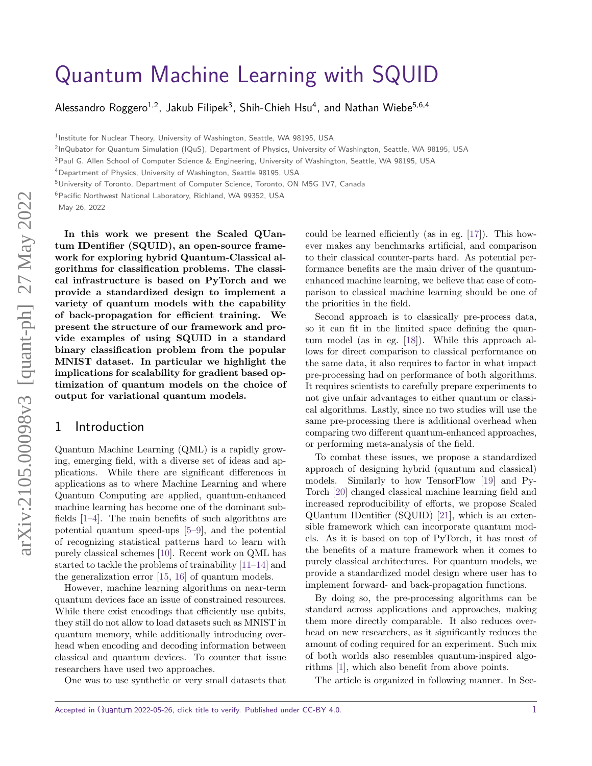# [Quantum Machine Learning with SQUID](https://quantum-journal.org/?s=Quantum%20Machine%20Learning%20with%20SQUID&reason=title-click)

Alessandro Roggero $^{1,2}$ , Jakub Filipek $^3$ , Shih-Chieh Hsu $^4$ , and Nathan Wiebe $^{5,6,4}$ 

<sup>1</sup>Institute for Nuclear Theory, University of Washington, Seattle, WA 98195, USA

2 InQubator for Quantum Simulation (IQuS), Department of Physics, University of Washington, Seattle, WA 98195, USA

<sup>3</sup>Paul G. Allen School of Computer Science & Engineering, University of Washington, Seattle, WA 98195, USA

<sup>4</sup>Department of Physics, University of Washington, Seattle 98195, USA

<sup>5</sup>University of Toronto, Department of Computer Science, Toronto, ON M5G 1V7, Canada

<sup>6</sup>Pacific Northwest National Laboratory, Richland, WA 99352, USA

May 26, 2022

**In this work we present the Scaled QUantum IDentifier (SQUID), an open-source framework for exploring hybrid Quantum-Classical algorithms for classification problems. The classical infrastructure is based on PyTorch and we provide a standardized design to implement a variety of quantum models with the capability of back-propagation for efficient training. We present the structure of our framework and provide examples of using SQUID in a standard binary classification problem from the popular MNIST dataset. In particular we highlight the implications for scalability for gradient based optimization of quantum models on the choice of output for variational quantum models.**

### 1 Introduction

Quantum Machine Learning (QML) is a rapidly growing, emerging field, with a diverse set of ideas and applications. While there are significant differences in applications as to where Machine Learning and where Quantum Computing are applied, quantum-enhanced machine learning has become one of the dominant subfields [\[1–](#page-8-0)[4\]](#page-9-0). The main benefits of such algorithms are potential quantum speed-ups [\[5–](#page-9-1)[9\]](#page-9-2), and the potential of recognizing statistical patterns hard to learn with purely classical schemes [\[10\]](#page-9-3). Recent work on QML has started to tackle the problems of trainability [\[11–](#page-9-4)[14\]](#page-9-5) and the generalization error [\[15,](#page-9-6) [16\]](#page-9-7) of quantum models.

However, machine learning algorithms on near-term quantum devices face an issue of constrained resources. While there exist encodings that efficiently use qubits, they still do not allow to load datasets such as MNIST in quantum memory, while additionally introducing overhead when encoding and decoding information between classical and quantum devices. To counter that issue researchers have used two approaches.

One was to use synthetic or very small datasets that

could be learned efficiently (as in eg. [\[17\]](#page-9-8)). This however makes any benchmarks artificial, and comparison to their classical counter-parts hard. As potential performance benefits are the main driver of the quantumenhanced machine learning, we believe that ease of comparison to classical machine learning should be one of the priorities in the field.

Second approach is to classically pre-process data, so it can fit in the limited space defining the quantum model (as in eg. [\[18\]](#page-9-9)). While this approach allows for direct comparison to classical performance on the same data, it also requires to factor in what impact pre-processing had on performance of both algorithms. It requires scientists to carefully prepare experiments to not give unfair advantages to either quantum or classical algorithms. Lastly, since no two studies will use the same pre-processing there is additional overhead when comparing two different quantum-enhanced approaches, or performing meta-analysis of the field.

To combat these issues, we propose a standardized approach of designing hybrid (quantum and classical) models. Similarly to how TensorFlow [\[19\]](#page-9-10) and Py-Torch [\[20\]](#page-10-0) changed classical machine learning field and increased reproducibility of efforts, we propose Scaled QUantum IDentifier (SQUID) [\[21\]](#page-10-1), which is an extensible framework which can incorporate quantum models. As it is based on top of PyTorch, it has most of the benefits of a mature framework when it comes to purely classical architectures. For quantum models, we provide a standardized model design where user has to implement forward- and back-propagation functions.

By doing so, the pre-processing algorithms can be standard across applications and approaches, making them more directly comparable. It also reduces overhead on new researchers, as it significantly reduces the amount of coding required for an experiment. Such mix of both worlds also resembles quantum-inspired algorithms [\[1\]](#page-8-0), which also benefit from above points.

The article is organized in following manner. In Sec-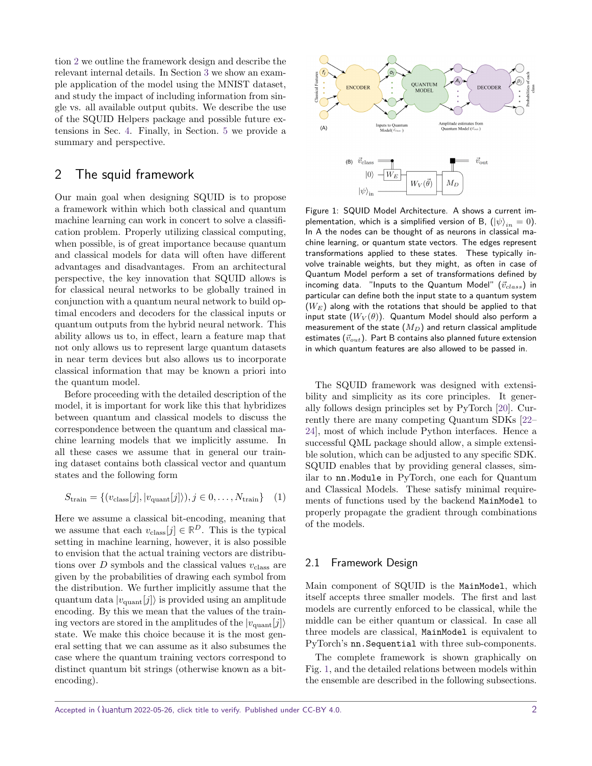tion [2](#page-1-0) we outline the framework design and describe the relevant internal details. In Section [3](#page-4-0) we show an example application of the model using the MNIST dataset, and study the impact of including information from single vs. all available output qubits. We describe the use of the SQUID Helpers package and possible future extensions in Sec. [4.](#page-7-0) Finally, in Section. [5](#page-7-1) we provide a summary and perspective.

## <span id="page-1-0"></span>2 The squid framework

Our main goal when designing SQUID is to propose a framework within which both classical and quantum machine learning can work in concert to solve a classification problem. Properly utilizing classical computing, when possible, is of great importance because quantum and classical models for data will often have different advantages and disadvantages. From an architectural perspective, the key innovation that SQUID allows is for classical neural networks to be globally trained in conjunction with a quantum neural network to build optimal encoders and decoders for the classical inputs or quantum outputs from the hybrid neural network. This ability allows us to, in effect, learn a feature map that not only allows us to represent large quantum datasets in near term devices but also allows us to incorporate classical information that may be known a priori into the quantum model.

Before proceeding with the detailed description of the model, it is important for work like this that hybridizes between quantum and classical models to discuss the correspondence between the quantum and classical machine learning models that we implicitly assume. In all these cases we assume that in general our training dataset contains both classical vector and quantum states and the following form

$$
S_{\text{train}} = \{ (v_{\text{class}}[j], |v_{\text{quant}}[j] \rangle), j \in 0, \dots, N_{\text{train}} \} \quad (1)
$$

Here we assume a classical bit-encoding, meaning that we assume that each  $v_{\text{class}}[j] \in \mathbb{R}^D$ . This is the typical setting in machine learning, however, it is also possible to envision that the actual training vectors are distributions over  $D$  symbols and the classical values  $v_{\text{class}}$  are given by the probabilities of drawing each symbol from the distribution. We further implicitly assume that the quantum data  $|v_{\text{quant}}[j]\rangle$  is provided using an amplitude encoding. By this we mean that the values of the training vectors are stored in the amplitudes of the  $|v_{\text{quant}}[j]\rangle$ state. We make this choice because it is the most general setting that we can assume as it also subsumes the case where the quantum training vectors correspond to distinct quantum bit strings (otherwise known as a bitencoding).

<span id="page-1-1"></span>

Figure 1: SQUID Model Architecture. A shows a current implementation, which is a simplified version of B,  $(\ket{\psi}_{in}=0)$ . In A the nodes can be thought of as neurons in classical machine learning, or quantum state vectors. The edges represent transformations applied to these states. These typically involve trainable weights, but they might, as often in case of Quantum Model perform a set of transformations defined by incoming data. "Inputs to the Quantum Model" ( $\vec{v}_{class}$ ) in particular can define both the input state to a quantum system  $(W_E)$  along with the rotations that should be applied to that input state  $(W_V(\theta))$ . Quantum Model should also perform a measurement of the state  $(M_D)$  and return classical amplitude estimates  $(\vec{v}_{out})$ . Part B contains also planned future extension in which quantum features are also allowed to be passed in.

The SQUID framework was designed with extensibility and simplicity as its core principles. It generally follows design principles set by PyTorch [\[20\]](#page-10-0). Currently there are many competing Quantum SDKs [\[22–](#page-10-2) [24\]](#page-10-3), most of which include Python interfaces. Hence a successful QML package should allow, a simple extensible solution, which can be adjusted to any specific SDK. SQUID enables that by providing general classes, similar to nn.Module in PyTorch, one each for Quantum and Classical Models. These satisfy minimal requirements of functions used by the backend MainModel to properly propagate the gradient through combinations of the models.

#### 2.1 Framework Design

Main component of SQUID is the MainModel, which itself accepts three smaller models. The first and last models are currently enforced to be classical, while the middle can be either quantum or classical. In case all three models are classical, MainModel is equivalent to PyTorch's nn.Sequential with three sub-components.

The complete framework is shown graphically on Fig. [1,](#page-1-1) and the detailed relations between models within the ensemble are described in the following subsections.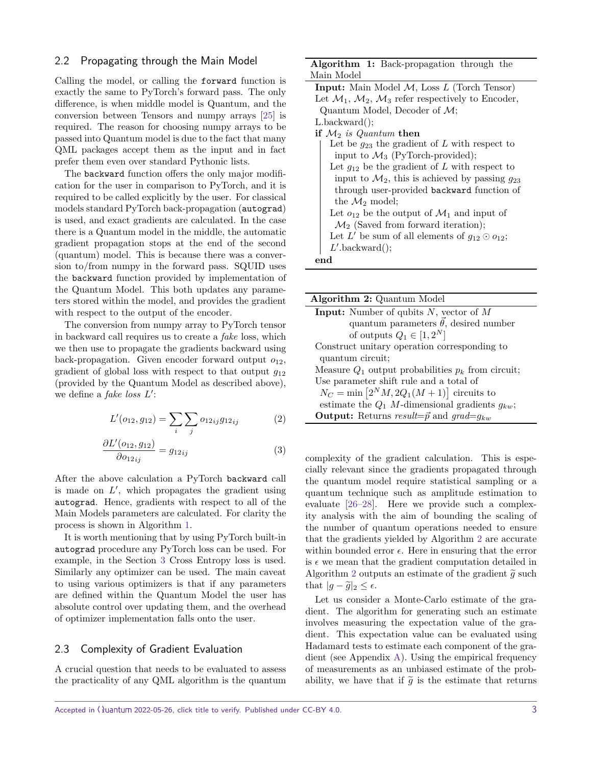#### <span id="page-2-2"></span>2.2 Propagating through the Main Model

Calling the model, or calling the forward function is exactly the same to PyTorch's forward pass. The only difference, is when middle model is Quantum, and the conversion between Tensors and numpy arrays [\[25\]](#page-10-4) is required. The reason for choosing numpy arrays to be passed into Quantum model is due to the fact that many QML packages accept them as the input and in fact prefer them even over standard Pythonic lists.

The backward function offers the only major modification for the user in comparison to PyTorch, and it is required to be called explicitly by the user. For classical models standard PyTorch back-propagation (autograd) is used, and exact gradients are calculated. In the case there is a Quantum model in the middle, the automatic gradient propagation stops at the end of the second (quantum) model. This is because there was a conversion to/from numpy in the forward pass. SQUID uses the backward function provided by implementation of the Quantum Model. This both updates any parameters stored within the model, and provides the gradient with respect to the output of the encoder.

The conversion from numpy array to PyTorch tensor in backward call requires us to create a fake loss, which we then use to propagate the gradients backward using back-propagation. Given encoder forward output *o*12, gradient of global loss with respect to that output *g*<sup>12</sup> (provided by the Quantum Model as described above), we define a *fake loss L'*:

$$
L'(o_{12}, g_{12}) = \sum_{i} \sum_{j} o_{12ij} g_{12ij}
$$
 (2)

$$
\frac{\partial L'(o_{12}, g_{12})}{\partial o_{12ij}} = g_{12ij} \tag{3}
$$

After the above calculation a PyTorch backward call is made on  $L'$ , which propagates the gradient using autograd. Hence, gradients with respect to all of the Main Models parameters are calculated. For clarity the process is shown in Algorithm [1.](#page-2-0)

It is worth mentioning that by using PyTorch built-in autograd procedure any PyTorch loss can be used. For example, in the Section [3](#page-4-0) Cross Entropy loss is used. Similarly any optimizer can be used. The main caveat to using various optimizers is that if any parameters are defined within the Quantum Model the user has absolute control over updating them, and the overhead of optimizer implementation falls onto the user.

#### <span id="page-2-3"></span>2.3 Complexity of Gradient Evaluation

A crucial question that needs to be evaluated to assess the practicality of any QML algorithm is the quantum

| <b>Algorithm 1:</b> Back-propagation through the                                       |
|----------------------------------------------------------------------------------------|
| Main Model                                                                             |
| <b>Input:</b> Main Model $M$ , Loss $L$ (Torch Tensor)                                 |
| Let $\mathcal{M}_1$ , $\mathcal{M}_2$ , $\mathcal{M}_3$ refer respectively to Encoder, |
| Quantum Model, Decoder of $M$ ;                                                        |
| $L.\text{backward}$ .                                                                  |
| if $\mathcal{M}_2$ is Quantum then                                                     |
| Let be $g_{23}$ the gradient of L with respect to                                      |
| input to $\mathcal{M}_3$ (PyTorch-provided);                                           |
| Let $g_{12}$ be the gradient of L with respect to                                      |
| input to $\mathcal{M}_2$ , this is achieved by passing $g_{23}$                        |
| through user-provided backward function of                                             |
| the $\mathcal{M}_2$ model;                                                             |
| Let $o_{12}$ be the output of $\mathcal{M}_1$ and input of                             |
| $\mathcal{M}_2$ (Saved from forward iteration);                                        |
| Let L' be sum of all elements of $g_{12} \odot o_{12}$ ;                               |
| $L'$ .backward $($ );                                                                  |
| end                                                                                    |

<span id="page-2-0"></span>

| <b>Algorithm 2:</b> Quantum Model                             |
|---------------------------------------------------------------|
| <b>Input:</b> Number of qubits $N$ , vector of $M$            |
| quantum parameters $\vec{\theta}$ , desired number            |
| of outputs $Q_1 \in [1, 2^N]$                                 |
| Construct unitary operation corresponding to                  |
| quantum circuit;                                              |
| Measure $Q_1$ output probabilities $p_k$ from circuit;        |
| Use parameter shift rule and a total of                       |
| $N_C = \min\left[2^N M, 2Q_1(M+1)\right]$ circuits to         |
| estimate the $Q_1$ <i>M</i> -dimensional gradients $g_{kw}$ ; |
| <b>Output:</b> Returns result= $\vec{p}$ and grad= $q_{kw}$   |

<span id="page-2-1"></span>complexity of the gradient calculation. This is especially relevant since the gradients propagated through the quantum model require statistical sampling or a quantum technique such as amplitude estimation to evaluate [\[26–](#page-10-5)[28\]](#page-10-6). Here we provide such a complexity analysis with the aim of bounding the scaling of the number of quantum operations needed to ensure that the gradients yielded by Algorithm [2](#page-2-1) are accurate within bounded error  $\epsilon$ . Here in ensuring that the error is  $\epsilon$  we mean that the gradient computation detailed in Algorithm [2](#page-2-1) outputs an estimate of the gradient  $\tilde{g}$  such that  $|g - \tilde{g}|_2 \leq \epsilon$ .

Let us consider a Monte-Carlo estimate of the gradient. The algorithm for generating such an estimate involves measuring the expectation value of the gradient. This expectation value can be evaluated using Hadamard tests to estimate each component of the gradient (see Appendix [A\)](#page-11-0). Using the empirical frequency of measurements as an unbiased estimate of the probability, we have that if  $\tilde{g}$  is the estimate that returns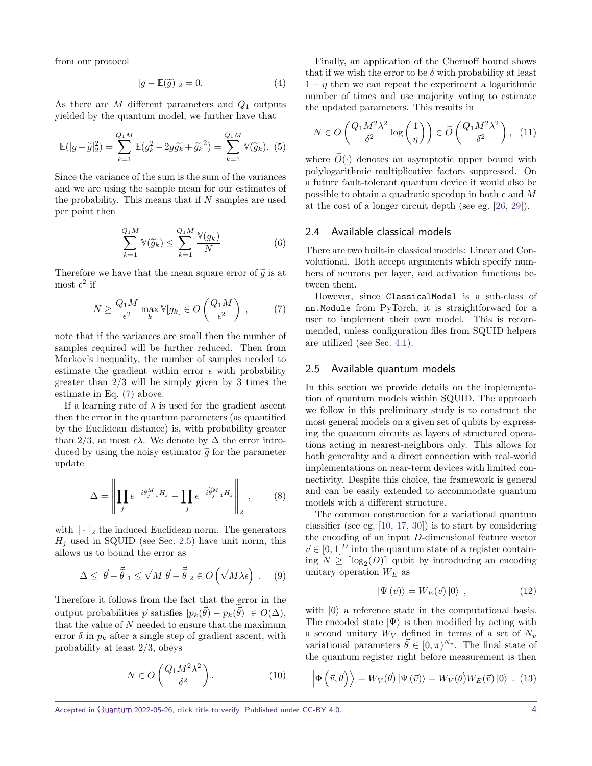from our protocol

$$
|g - \mathbb{E}(\tilde{g})|_2 = 0. \tag{4}
$$

As there are *M* different parameters and *Q*<sup>1</sup> outputs yielded by the quantum model, we further have that

$$
\mathbb{E}(|g-\tilde{g}|_2^2) = \sum_{k=1}^{Q_1M} \mathbb{E}(g_k^2 - 2g\tilde{g}_k + \tilde{g}_k^2) = \sum_{k=1}^{Q_1M} \mathbb{V}(\tilde{g}_k).
$$
 (5)

Since the variance of the sum is the sum of the variances and we are using the sample mean for our estimates of the probability. This means that if *N* samples are used per point then

$$
\sum_{k=1}^{Q_1 M} \mathbb{V}(\widetilde{g}_k) \le \sum_{k=1}^{Q_1 M} \frac{\mathbb{V}(g_k)}{N} \tag{6}
$$

Therefore we have that the mean square error of  $\tilde{g}$  is at most  $\epsilon^2$  if

<span id="page-3-0"></span>
$$
N \ge \frac{Q_1 M}{\epsilon^2} \max_k \mathbb{V}[g_k] \in O\left(\frac{Q_1 M}{\epsilon^2}\right) ,\qquad (7)
$$

note that if the variances are small then the number of samples required will be further reduced. Then from Markov's inequality, the number of samples needed to estimate the gradient within error  $\epsilon$  with probability greater than 2*/*3 will be simply given by 3 times the estimate in Eq. [\(7\)](#page-3-0) above.

If a learning rate of  $\lambda$  is used for the gradient ascent then the error in the quantum parameters (as quantified by the Euclidean distance) is, with probability greater than 2/3, at most  $\epsilon \lambda$ . We denote by  $\Delta$  the error introduced by using the noisy estimator  $\tilde{g}$  for the parameter update

$$
\Delta = \left\| \prod_j e^{-i\theta_{j=1}^M H_j} - \prod_j e^{-i\widetilde{\theta}_{j=1}^M H_j} \right\|_2, \qquad (8)
$$

with  $\|\cdot\|_2$  the induced Euclidean norm. The generators  $H_j$  used in SQUID (see Sec. [2.5\)](#page-3-1) have unit norm, this allows us to bound the error as

$$
\Delta \leq |\vec{\theta} - \vec{\tilde{\theta}}|_1 \leq \sqrt{M} |\vec{\theta} - \vec{\tilde{\theta}}|_2 \in O\left(\sqrt{M}\lambda\epsilon\right) . \tag{9}
$$

Therefore it follows from the fact that the error in the output probabilities  $\vec{p}$  satisfies  $|p_k(\vec{\theta}) - p_k(\vec{\theta})| \in O(\Delta)$ , that the value of *N* needed to ensure that the maximum error  $\delta$  in  $p_k$  after a single step of gradient ascent, with probability at least 2*/*3, obeys

$$
N \in O\left(\frac{Q_1 M^2 \lambda^2}{\delta^2}\right). \tag{10}
$$

Finally, an application of the Chernoff bound shows that if we wish the error to be  $\delta$  with probability at least  $1 - \eta$  then we can repeat the experiment a logarithmic number of times and use majority voting to estimate the updated parameters. This results in

$$
N \in O\left(\frac{Q_1 M^2 \lambda^2}{\delta^2} \log\left(\frac{1}{\eta}\right)\right) \in \widetilde{O}\left(\frac{Q_1 M^2 \lambda^2}{\delta^2}\right), \tag{11}
$$

where  $\tilde{O}(\cdot)$  denotes an asymptotic upper bound with polylogarithmic multiplicative factors suppressed. On a future fault-tolerant quantum device it would also be possible to obtain a quadratic speedup in both  $\epsilon$  and M at the cost of a longer circuit depth (see eg. [\[26,](#page-10-5) [29\]](#page-10-7)).

#### 2.4 Available classical models

There are two built-in classical models: Linear and Convolutional. Both accept arguments which specify numbers of neurons per layer, and activation functions between them.

However, since ClassicalModel is a sub-class of nn.Module from PyTorch, it is straightforward for a user to implement their own model. This is recommended, unless configuration files from SQUID helpers are utilized (see Sec. [4.1\)](#page-7-2).

#### <span id="page-3-1"></span>2.5 Available quantum models

In this section we provide details on the implementation of quantum models within SQUID. The approach we follow in this preliminary study is to construct the most general models on a given set of qubits by expressing the quantum circuits as layers of structured operations acting in nearest-neighbors only. This allows for both generality and a direct connection with real-world implementations on near-term devices with limited connectivity. Despite this choice, the framework is general and can be easily extended to accommodate quantum models with a different structure.

The common construction for a variational quantum classifier (see eg. [\[10,](#page-9-3) [17,](#page-9-8) [30\]](#page-10-8)) is to start by considering the encoding of an input *D*-dimensional feature vector  $\vec{v} \in [0, 1]^D$  into the quantum state of a register containing  $N \geq \lceil \log_2(D) \rceil$  qubit by introducing an encoding unitary operation *W<sup>E</sup>* as

$$
|\Psi(\vec{v})\rangle = W_E(\vec{v})|0\rangle , \qquad (12)
$$

with  $|0\rangle$  a reference state in the computational basis. The encoded state  $|\Psi\rangle$  is then modified by acting with a second unitary  $W_V$  defined in terms of a set of  $N_v$ variational parameters  $\vec{\theta} \in [0, \pi)^{N_v}$ . The final state of the quantum register right before measurement is then

$$
\left|\Phi\left(\vec{v},\vec{\theta}\right)\right\rangle = W_V(\vec{\theta})\left|\Psi\left(\vec{v}\right)\right\rangle = W_V(\vec{\theta})W_E(\vec{v})\left|0\right\rangle . (13)
$$

Accepted in  $\langle \rangle$ uantum 2022-05-26, click title to verify. Published under CC-BY 4.0.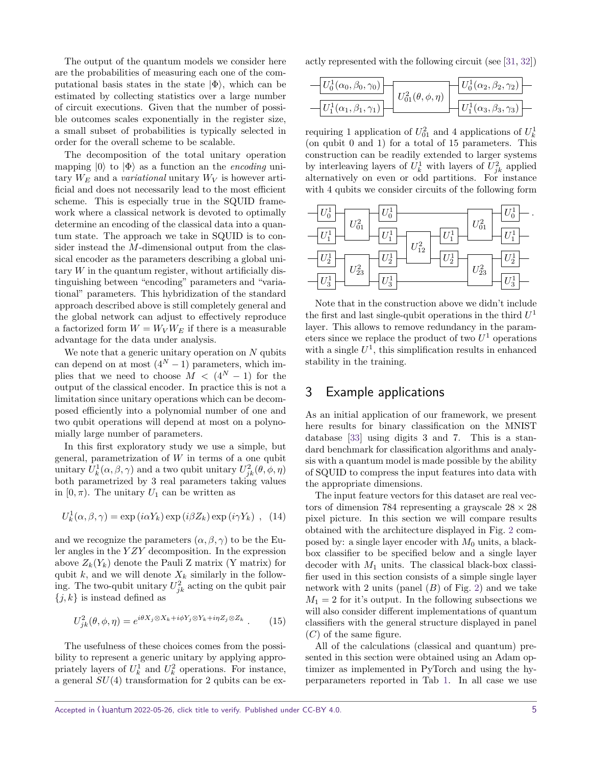The output of the quantum models we consider here are the probabilities of measuring each one of the computational basis states in the state  $|\Phi\rangle$ , which can be estimated by collecting statistics over a large number of circuit executions. Given that the number of possible outcomes scales exponentially in the register size, a small subset of probabilities is typically selected in order for the overall scheme to be scalable.

The decomposition of the total unitary operation mapping  $|0\rangle$  to  $|\Phi\rangle$  as a function an the *encoding* unitary  $W_E$  and a *variational* unitary  $W_V$  is however artificial and does not necessarily lead to the most efficient scheme. This is especially true in the SQUID framework where a classical network is devoted to optimally determine an encoding of the classical data into a quantum state. The approach we take in SQUID is to consider instead the *M*-dimensional output from the classical encoder as the parameters describing a global unitary  $W$  in the quantum register, without artificially distinguishing between "encoding" parameters and "variational" parameters. This hybridization of the standard approach described above is still completely general and the global network can adjust to effectively reproduce a factorized form  $W = W_V W_E$  if there is a measurable advantage for the data under analysis.

We note that a generic unitary operation on *N* qubits can depend on at most  $(4^N - 1)$  parameters, which implies that we need to choose  $M < (4^N - 1)$  for the output of the classical encoder. In practice this is not a limitation since unitary operations which can be decomposed efficiently into a polynomial number of one and two qubit operations will depend at most on a polynomially large number of parameters.

In this first exploratory study we use a simple, but general, parametrization of *W* in terms of a one qubit unitary  $U_k^1(\alpha, \beta, \gamma)$  and a two qubit unitary  $U_{jk}^2(\theta, \phi, \eta)$ both parametrized by 3 real parameters taking values in  $[0, \pi)$ . The unitary  $U_1$  can be written as

<span id="page-4-2"></span>
$$
U_k^1(\alpha, \beta, \gamma) = \exp(i\alpha Y_k) \exp(i\beta Z_k) \exp(i\gamma Y_k) , (14)
$$

and we recognize the parameters  $(\alpha, \beta, \gamma)$  to be the Euler angles in the *Y ZY* decomposition. In the expression above  $Z_k(Y_k)$  denote the Pauli Z matrix (Y matrix) for qubit  $k$ , and we will denote  $X_k$  similarly in the following. The two-qubit unitary  $U_{jk}^2$  acting on the qubit pair  $\{i,k\}$  is instead defined as

<span id="page-4-1"></span>
$$
U_{jk}^{2}(\theta,\phi,\eta) = e^{i\theta X_j \otimes X_k + i\phi Y_j \otimes Y_k + i\eta Z_j \otimes Z_k} \ . \tag{15}
$$

The usefulness of these choices comes from the possibility to represent a generic unitary by applying appropriately layers of  $U_k^1$  and  $U_k^2$  operations. For instance, a general *SU*(4) transformation for 2 qubits can be exactly represented with the following circuit (see [\[31,](#page-10-9) [32\]](#page-10-10))

| $\left U_0^1(\alpha_0,\beta_0,\gamma_0)\right $           |                              | $U_0^1(\alpha_2,\beta_2,\gamma_2)$ |
|-----------------------------------------------------------|------------------------------|------------------------------------|
| $\left\vert U_1^1(\alpha_1,\beta_1,\gamma_1) \right\vert$ | $U_{01}^2(\theta,\phi,\eta)$ | $U_1^1(\alpha_3,\beta_3,\gamma_3)$ |

requiring 1 application of  $U_{01}^2$  and 4 applications of  $U_k^1$ (on qubit 0 and 1) for a total of 15 parameters. This construction can be readily extended to larger systems by interleaving layers of  $U_k^1$  with layers of  $U_{jk}^2$  applied alternatively on even or odd partitions. For instance with 4 qubits we consider circuits of the following form



Note that in the construction above we didn't include the first and last single-qubit operations in the third *U* 1 layer. This allows to remove redundancy in the parameters since we replace the product of two  $U^1$  operations with a single  $U^1$ , this simplification results in enhanced stability in the training.

## <span id="page-4-0"></span>3 Example applications

As an initial application of our framework, we present here results for binary classification on the MNIST database [\[33\]](#page-10-11) using digits 3 and 7. This is a standard benchmark for classification algorithms and analysis with a quantum model is made possible by the ability of SQUID to compress the input features into data with the appropriate dimensions.

The input feature vectors for this dataset are real vectors of dimension 784 representing a grayscale  $28 \times 28$ pixel picture. In this section we will compare results obtained with the architecture displayed in Fig. [2](#page-5-0) composed by: a single layer encoder with  $M_0$  units, a blackbox classifier to be specified below and a single layer decoder with *M*<sup>1</sup> units. The classical black-box classifier used in this section consists of a simple single layer network with 2 units (panel (*B*) of Fig. [2\)](#page-5-0) and we take  $M_1 = 2$  for it's output. In the following subsections we will also consider different implementations of quantum classifiers with the general structure displayed in panel (*C*) of the same figure.

All of the calculations (classical and quantum) presented in this section were obtained using an Adam optimizer as implemented in PyTorch and using the hyperparameters reported in Tab [1.](#page-5-1) In all case we use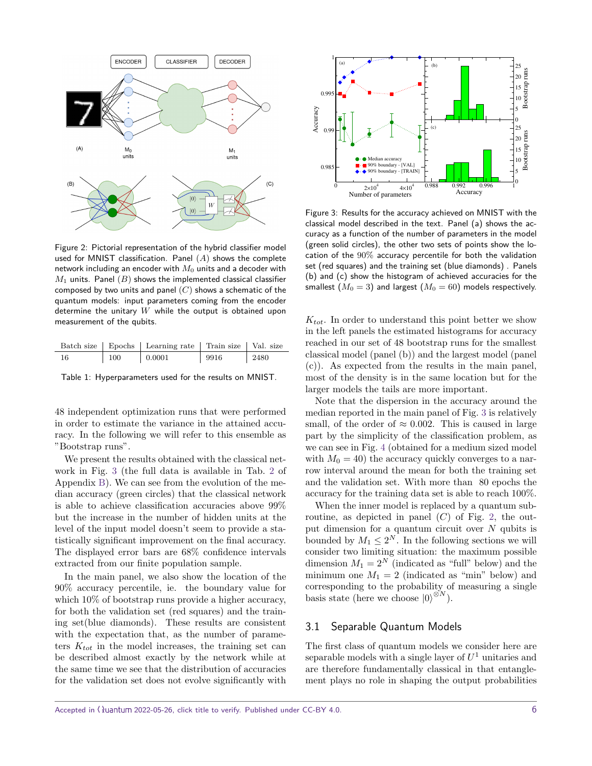<span id="page-5-0"></span>

Figure 2: Pictorial representation of the hybrid classifier model used for MNIST classification. Panel (*A*) shows the complete network including an encoder with  $M_0$  units and a decoder with  $M_1$  units. Panel  $(B)$  shows the implemented classical classifier composed by two units and panel (*C*) shows a schematic of the quantum models: input parameters coming from the encoder determine the unitary *W* while the output is obtained upon measurement of the qubits.

<span id="page-5-1"></span>

|     |     | Batch size   Epochs   Learning rate   Train size   Val. size |                  |                                             |
|-----|-----|--------------------------------------------------------------|------------------|---------------------------------------------|
| -16 | 100 | 0.0001                                                       | $\frac{9916}{ }$ | $\begin{array}{c} \boxed{2480} \end{array}$ |

Table 1: Hyperparameters used for the results on MNIST.

48 independent optimization runs that were performed in order to estimate the variance in the attained accuracy. In the following we will refer to this ensemble as "Bootstrap runs".

We present the results obtained with the classical network in Fig. [3](#page-5-2) (the full data is available in Tab. [2](#page-12-0) of Appendix [B\)](#page-12-1). We can see from the evolution of the median accuracy (green circles) that the classical network is able to achieve classification accuracies above 99% but the increase in the number of hidden units at the level of the input model doesn't seem to provide a statistically significant improvement on the final accuracy. The displayed error bars are 68% confidence intervals extracted from our finite population sample.

In the main panel, we also show the location of the 90% accuracy percentile, ie. the boundary value for which  $10\%$  of bootstrap runs provide a higher accuracy, for both the validation set (red squares) and the training set(blue diamonds). These results are consistent with the expectation that, as the number of parameters  $K_{tot}$  in the model increases, the training set can be described almost exactly by the network while at the same time we see that the distribution of accuracies for the validation set does not evolve significantly with

<span id="page-5-2"></span>

Figure 3: Results for the accuracy achieved on MNIST with the classical model described in the text. Panel (a) shows the accuracy as a function of the number of parameters in the model (green solid circles), the other two sets of points show the location of the 90% accuracy percentile for both the validation set (red squares) and the training set (blue diamonds) . Panels (b) and (c) show the histogram of achieved accuracies for the smallest  $(M_0 = 3)$  and largest  $(M_0 = 60)$  models respectively.

*Ktot*. In order to understand this point better we show in the left panels the estimated histograms for accuracy reached in our set of 48 bootstrap runs for the smallest classical model (panel (b)) and the largest model (panel (c)). As expected from the results in the main panel, most of the density is in the same location but for the larger models the tails are more important.

Note that the dispersion in the accuracy around the median reported in the main panel of Fig. [3](#page-5-2) is relatively small, of the order of  $\approx 0.002$ . This is caused in large part by the simplicity of the classification problem, as we can see in Fig. [4](#page-6-0) (obtained for a medium sized model with  $M_0 = 40$ ) the accuracy quickly converges to a narrow interval around the mean for both the training set and the validation set. With more than 80 epochs the accuracy for the training data set is able to reach 100%.

When the inner model is replaced by a quantum subroutine, as depicted in panel  $(C)$  of Fig. [2,](#page-5-0) the output dimension for a quantum circuit over *N* qubits is bounded by  $M_1 \leq 2^N$ . In the following sections we will consider two limiting situation: the maximum possible dimension  $M_1 = 2^N$  (indicated as "full" below) and the minimum one  $M_1 = 2$  (indicated as "min" below) and corresponding to the probability of measuring a single basis state (here we choose  $|0\rangle^{\otimes N}$ ).

#### 3.1 Separable Quantum Models

The first class of quantum models we consider here are separable models with a single layer of *U* <sup>1</sup> unitaries and are therefore fundamentally classical in that entanglement plays no role in shaping the output probabilities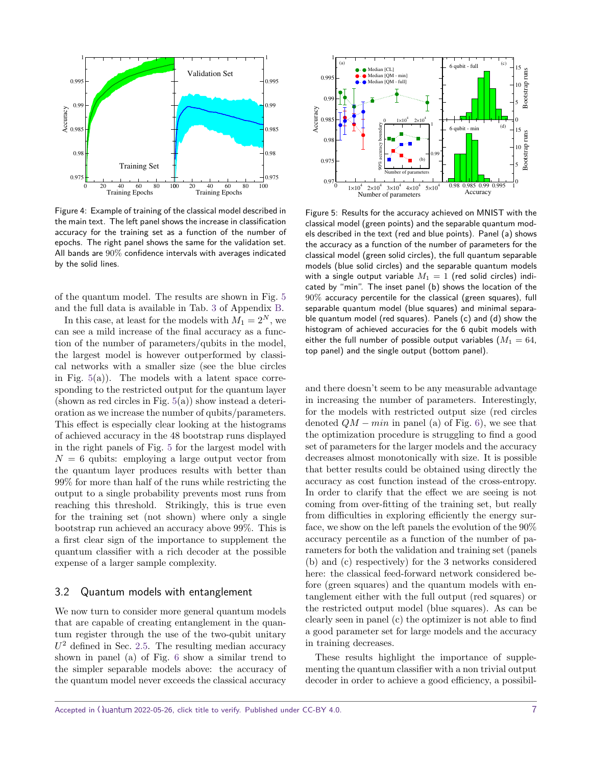<span id="page-6-0"></span>

Figure 4: Example of training of the classical model described in the main text. The left panel shows the increase in classification accuracy for the training set as a function of the number of epochs. The right panel shows the same for the validation set. All bands are 90% confidence intervals with averages indicated by the solid lines.

of the quantum model. The results are shown in Fig. [5](#page-6-1) and the full data is available in Tab. [3](#page-12-2) of Appendix [B.](#page-12-1)

In this case, at least for the models with  $M_1 = 2^N$ , we can see a mild increase of the final accuracy as a function of the number of parameters/qubits in the model, the largest model is however outperformed by classical networks with a smaller size (see the blue circles in Fig.  $5(a)$  $5(a)$ ). The models with a latent space corresponding to the restricted output for the quantum layer  $(\text{shown as red circles in Fig. } 5(a))$  $(\text{shown as red circles in Fig. } 5(a))$  $(\text{shown as red circles in Fig. } 5(a))$  show instead a deterioration as we increase the number of qubits/parameters. This effect is especially clear looking at the histograms of achieved accuracy in the 48 bootstrap runs displayed in the right panels of Fig. [5](#page-6-1) for the largest model with  $N = 6$  qubits: employing a large output vector from the quantum layer produces results with better than 99% for more than half of the runs while restricting the output to a single probability prevents most runs from reaching this threshold. Strikingly, this is true even for the training set (not shown) where only a single bootstrap run achieved an accuracy above 99%. This is a first clear sign of the importance to supplement the quantum classifier with a rich decoder at the possible expense of a larger sample complexity.

#### <span id="page-6-2"></span>3.2 Quantum models with entanglement

We now turn to consider more general quantum models that are capable of creating entanglement in the quantum register through the use of the two-qubit unitary  $U^2$  defined in Sec. [2.5.](#page-3-1) The resulting median accuracy shown in panel (a) of Fig. [6](#page-7-3) show a similar trend to the simpler separable models above: the accuracy of the quantum model never exceeds the classical accuracy

<span id="page-6-1"></span>

Figure 5: Results for the accuracy achieved on MNIST with the classical model (green points) and the separable quantum models described in the text (red and blue points). Panel (a) shows the accuracy as a function of the number of parameters for the classical model (green solid circles), the full quantum separable models (blue solid circles) and the separable quantum models with a single output variable  $M_1 = 1$  (red solid circles) indicated by "min". The inset panel (b) shows the location of the 90% accuracy percentile for the classical (green squares), full separable quantum model (blue squares) and minimal separable quantum model (red squares). Panels (c) and (d) show the histogram of achieved accuracies for the 6 qubit models with either the full number of possible output variables  $(M_1 = 64,$ top panel) and the single output (bottom panel).

and there doesn't seem to be any measurable advantage in increasing the number of parameters. Interestingly, for the models with restricted output size (red circles denoted  $QM - min$  in panel (a) of Fig. [6\)](#page-7-3), we see that the optimization procedure is struggling to find a good set of parameters for the larger models and the accuracy decreases almost monotonically with size. It is possible that better results could be obtained using directly the accuracy as cost function instead of the cross-entropy. In order to clarify that the effect we are seeing is not coming from over-fitting of the training set, but really from difficulties in exploring efficiently the energy surface, we show on the left panels the evolution of the 90% accuracy percentile as a function of the number of parameters for both the validation and training set (panels (b) and (c) respectively) for the 3 networks considered here: the classical feed-forward network considered before (green squares) and the quantum models with entanglement either with the full output (red squares) or the restricted output model (blue squares). As can be clearly seen in panel (c) the optimizer is not able to find a good parameter set for large models and the accuracy in training decreases.

These results highlight the importance of supplementing the quantum classifier with a non trivial output decoder in order to achieve a good efficiency, a possibil-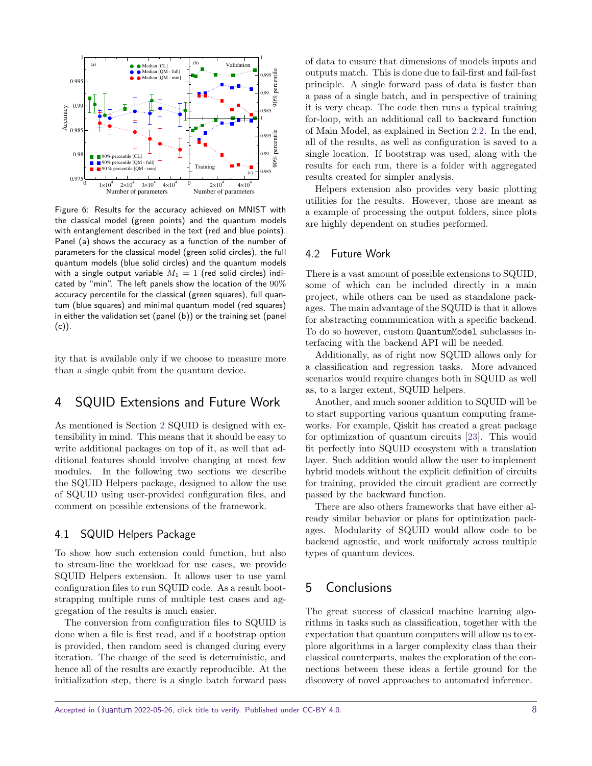<span id="page-7-3"></span>

Figure 6: Results for the accuracy achieved on MNIST with the classical model (green points) and the quantum models with entanglement described in the text (red and blue points). Panel (a) shows the accuracy as a function of the number of parameters for the classical model (green solid circles), the full quantum models (blue solid circles) and the quantum models with a single output variable  $M_1 = 1$  (red solid circles) indicated by "min". The left panels show the location of the 90% accuracy percentile for the classical (green squares), full quantum (blue squares) and minimal quantum model (red squares) in either the validation set (panel (b)) or the training set (panel  $(c)$ ).

ity that is available only if we choose to measure more than a single qubit from the quantum device.

## <span id="page-7-0"></span>4 SQUID Extensions and Future Work

As mentioned is Section [2](#page-1-0) SQUID is designed with extensibility in mind. This means that it should be easy to write additional packages on top of it, as well that additional features should involve changing at most few modules. In the following two sections we describe the SQUID Helpers package, designed to allow the use of SQUID using user-provided configuration files, and comment on possible extensions of the framework.

#### <span id="page-7-2"></span>4.1 SQUID Helpers Package

To show how such extension could function, but also to stream-line the workload for use cases, we provide SQUID Helpers extension. It allows user to use yaml configuration files to run SQUID code. As a result bootstrapping multiple runs of multiple test cases and aggregation of the results is much easier.

The conversion from configuration files to SQUID is done when a file is first read, and if a bootstrap option is provided, then random seed is changed during every iteration. The change of the seed is deterministic, and hence all of the results are exactly reproducible. At the initialization step, there is a single batch forward pass of data to ensure that dimensions of models inputs and outputs match. This is done due to fail-first and fail-fast principle. A single forward pass of data is faster than a pass of a single batch, and in perspective of training it is very cheap. The code then runs a typical training for-loop, with an additional call to backward function of Main Model, as explained in Section [2.2.](#page-2-2) In the end, all of the results, as well as configuration is saved to a single location. If bootstrap was used, along with the results for each run, there is a folder with aggregated results created for simpler analysis.

Helpers extension also provides very basic plotting utilities for the results. However, those are meant as a example of processing the output folders, since plots are highly dependent on studies performed.

#### 4.2 Future Work

There is a vast amount of possible extensions to SQUID, some of which can be included directly in a main project, while others can be used as standalone packages. The main advantage of the SQUID is that it allows for abstracting communication with a specific backend. To do so however, custom QuantumModel subclasses interfacing with the backend API will be needed.

Additionally, as of right now SQUID allows only for a classification and regression tasks. More advanced scenarios would require changes both in SQUID as well as, to a larger extent, SQUID helpers.

Another, and much sooner addition to SQUID will be to start supporting various quantum computing frameworks. For example, Qiskit has created a great package for optimization of quantum circuits [\[23\]](#page-10-12). This would fit perfectly into SQUID ecosystem with a translation layer. Such addition would allow the user to implement hybrid models without the explicit definition of circuits for training, provided the circuit gradient are correctly passed by the backward function.

There are also others frameworks that have either already similar behavior or plans for optimization packages. Modularity of SQUID would allow code to be backend agnostic, and work uniformly across multiple types of quantum devices.

## <span id="page-7-1"></span>5 Conclusions

The great success of classical machine learning algorithms in tasks such as classification, together with the expectation that quantum computers will allow us to explore algorithms in a larger complexity class than their classical counterparts, makes the exploration of the connections between these ideas a fertile ground for the discovery of novel approaches to automated inference.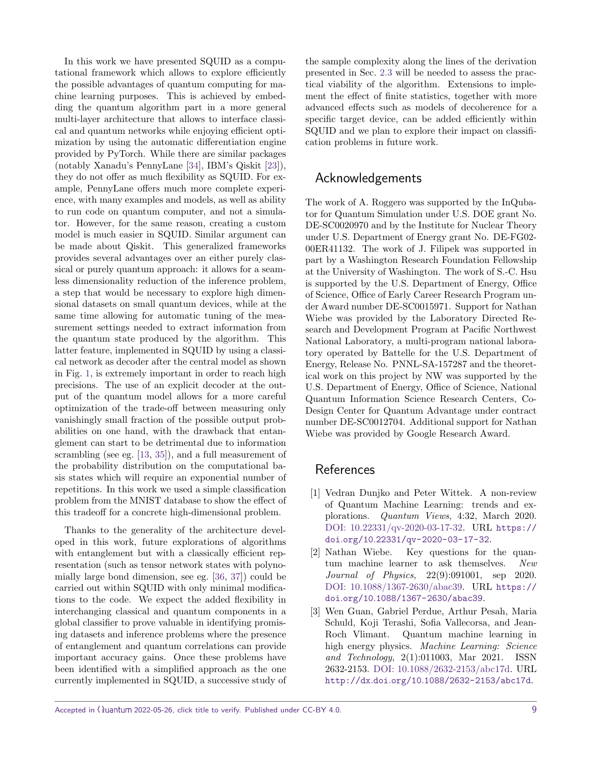In this work we have presented SQUID as a computational framework which allows to explore efficiently the possible advantages of quantum computing for machine learning purposes. This is achieved by embedding the quantum algorithm part in a more general multi-layer architecture that allows to interface classical and quantum networks while enjoying efficient optimization by using the automatic differentiation engine provided by PyTorch. While there are similar packages (notably Xanadu's PennyLane [\[34\]](#page-10-13), IBM's Qiskit [\[23\]](#page-10-12)), they do not offer as much flexibility as SQUID. For example, PennyLane offers much more complete experience, with many examples and models, as well as ability to run code on quantum computer, and not a simulator. However, for the same reason, creating a custom model is much easier in SQUID. Similar argument can be made about Qiskit. This generalized frameworks provides several advantages over an either purely classical or purely quantum approach: it allows for a seamless dimensionality reduction of the inference problem, a step that would be necessary to explore high dimensional datasets on small quantum devices, while at the same time allowing for automatic tuning of the measurement settings needed to extract information from the quantum state produced by the algorithm. This latter feature, implemented in SQUID by using a classical network as decoder after the central model as shown in Fig. [1,](#page-1-1) is extremely important in order to reach high precisions. The use of an explicit decoder at the output of the quantum model allows for a more careful optimization of the trade-off between measuring only vanishingly small fraction of the possible output probabilities on one hand, with the drawback that entanglement can start to be detrimental due to information scrambling (see eg. [\[13,](#page-9-11) [35\]](#page-10-14)), and a full measurement of the probability distribution on the computational basis states which will require an exponential number of repetitions. In this work we used a simple classification problem from the MNIST database to show the effect of this tradeoff for a concrete high-dimensional problem.

Thanks to the generality of the architecture developed in this work, future explorations of algorithms with entanglement but with a classically efficient representation (such as tensor network states with polynomially large bond dimension, see eg. [\[36,](#page-10-15) [37\]](#page-11-1)) could be carried out within SQUID with only minimal modifications to the code. We expect the added flexibility in interchanging classical and quantum components in a global classifier to prove valuable in identifying promising datasets and inference problems where the presence of entanglement and quantum correlations can provide important accuracy gains. Once these problems have been identified with a simplified approach as the one currently implemented in SQUID, a successive study of the sample complexity along the lines of the derivation presented in Sec. [2.3](#page-2-3) will be needed to assess the practical viability of the algorithm. Extensions to implement the effect of finite statistics, together with more advanced effects such as models of decoherence for a specific target device, can be added efficiently within SQUID and we plan to explore their impact on classification problems in future work.

## Acknowledgements

The work of A. Roggero was supported by the InQubator for Quantum Simulation under U.S. DOE grant No. DE-SC0020970 and by the Institute for Nuclear Theory under U.S. Department of Energy grant No. DE-FG02- 00ER41132. The work of J. Filipek was supported in part by a Washington Research Foundation Fellowship at the University of Washington. The work of S.-C. Hsu is supported by the U.S. Department of Energy, Office of Science, Office of Early Career Research Program under Award number DE-SC0015971. Support for Nathan Wiebe was provided by the Laboratory Directed Research and Development Program at Pacific Northwest National Laboratory, a multi-program national laboratory operated by Battelle for the U.S. Department of Energy, Release No. PNNL-SA-157287 and the theoretical work on this project by NW was supported by the U.S. Department of Energy, Office of Science, National Quantum Information Science Research Centers, Co-Design Center for Quantum Advantage under contract number DE-SC0012704. Additional support for Nathan Wiebe was provided by Google Research Award.

## References

- <span id="page-8-0"></span>[1] Vedran Dunjko and Peter Wittek. A non-review of Quantum Machine Learning: trends and explorations. Quantum Views, 4:32, March 2020. [DOI: 10.22331/qv-2020-03-17-32.](https://doi.org/10.22331/qv-2020-03-17-32) URL [https://](https://doi.org/10.22331/qv-2020-03-17-32) doi*.*org/10*.*[22331/qv-2020-03-17-32](https://doi.org/10.22331/qv-2020-03-17-32).
- [2] Nathan Wiebe. Key questions for the quantum machine learner to ask themselves. New Journal of Physics, 22(9):091001, sep 2020. [DOI: 10.1088/1367-2630/abac39.](https://doi.org/10.1088/1367-2630/abac39) URL [https://](https://doi.org/10.1088/1367-2630/abac39) doi*.*org/10*.*[1088/1367-2630/abac39](https://doi.org/10.1088/1367-2630/abac39).
- [3] Wen Guan, Gabriel Perdue, Arthur Pesah, Maria Schuld, Koji Terashi, Sofia Vallecorsa, and Jean-Roch Vlimant. Quantum machine learning in high energy physics. Machine Learning: Science and Technology, 2(1):011003, Mar 2021. ISSN 2632-2153. [DOI: 10.1088/2632-2153/abc17d.](https://doi.org/10.1088/2632-2153/abc17d) URL http://dx*.*doi*.*org/10*.*[1088/2632-2153/abc17d](http://dx.doi.org/10.1088/2632-2153/abc17d).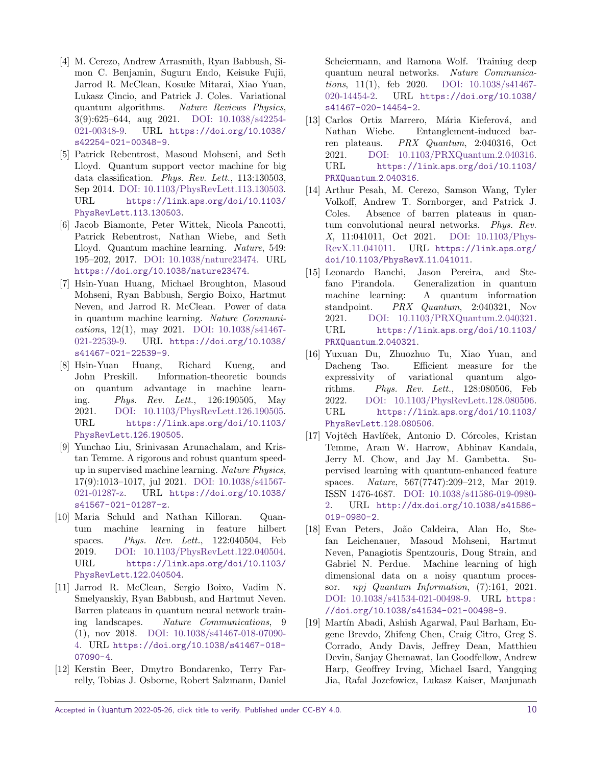- <span id="page-9-0"></span>[4] M. Cerezo, Andrew Arrasmith, Ryan Babbush, Simon C. Benjamin, Suguru Endo, Keisuke Fujii, Jarrod R. McClean, Kosuke Mitarai, Xiao Yuan, Lukasz Cincio, and Patrick J. Coles. Variational quantum algorithms. Nature Reviews Physics, 3(9):625–644, aug 2021. [DOI: 10.1038/s42254-](https://doi.org/10.1038/s42254-021-00348-9) [021-00348-9.](https://doi.org/10.1038/s42254-021-00348-9) URL [https://doi](https://doi.org/10.1038/s42254-021-00348-9)*.*org/10*.*1038/ [s42254-021-00348-9](https://doi.org/10.1038/s42254-021-00348-9).
- <span id="page-9-1"></span>[5] Patrick Rebentrost, Masoud Mohseni, and Seth Lloyd. Quantum support vector machine for big data classification. Phys. Rev. Lett., 113:130503, Sep 2014. [DOI: 10.1103/PhysRevLett.113.130503.](https://doi.org/10.1103/PhysRevLett.113.130503) URL [https://link](https://link.aps.org/doi/10.1103/PhysRevLett.113.130503)*.*aps*.*org/doi/10*.*1103/ [PhysRevLett](https://link.aps.org/doi/10.1103/PhysRevLett.113.130503)*.*113*.*130503.
- [6] Jacob Biamonte, Peter Wittek, Nicola Pancotti, Patrick Rebentrost, Nathan Wiebe, and Seth Lloyd. Quantum machine learning. Nature, 549: 195–202, 2017. [DOI: 10.1038/nature23474.](https://doi.org/10.1038/nature23474) URL https://doi*.*org/10*.*[1038/nature23474](https://doi.org/10.1038/nature23474).
- [7] Hsin-Yuan Huang, Michael Broughton, Masoud Mohseni, Ryan Babbush, Sergio Boixo, Hartmut Neven, and Jarrod R. McClean. Power of data in quantum machine learning. Nature Communications, 12(1), may 2021. [DOI: 10.1038/s41467-](https://doi.org/10.1038/s41467-021-22539-9) [021-22539-9.](https://doi.org/10.1038/s41467-021-22539-9) URL [https://doi](https://doi.org/10.1038/s41467-021-22539-9)*.*org/10*.*1038/ [s41467-021-22539-9](https://doi.org/10.1038/s41467-021-22539-9).
- [8] Hsin-Yuan Huang, Richard Kueng, and John Preskill. Information-theoretic bounds on quantum advantage in machine learning. Phys. Rev. Lett., 126:190505, May 2021. [DOI: 10.1103/PhysRevLett.126.190505.](https://doi.org/10.1103/PhysRevLett.126.190505) URL [https://link](https://link.aps.org/doi/10.1103/PhysRevLett.126.190505)*.*aps*.*org/doi/10*.*1103/ [PhysRevLett](https://link.aps.org/doi/10.1103/PhysRevLett.126.190505)*.*126*.*190505.
- <span id="page-9-2"></span>[9] Yunchao Liu, Srinivasan Arunachalam, and Kristan Temme. A rigorous and robust quantum speedup in supervised machine learning. Nature Physics, 17(9):1013–1017, jul 2021. [DOI: 10.1038/s41567-](https://doi.org/10.1038/s41567-021-01287-z) [021-01287-z.](https://doi.org/10.1038/s41567-021-01287-z) URL [https://doi](https://doi.org/10.1038/s41567-021-01287-z)*.*org/10*.*1038/ [s41567-021-01287-z](https://doi.org/10.1038/s41567-021-01287-z).
- <span id="page-9-3"></span>[10] Maria Schuld and Nathan Killoran. Quantum machine learning in feature hilbert spaces. Phys. Rev. Lett., 122:040504, Feb 2019. [DOI: 10.1103/PhysRevLett.122.040504.](https://doi.org/10.1103/PhysRevLett.122.040504) URL [https://link](https://link.aps.org/doi/10.1103/PhysRevLett.122.040504)*.*aps*.*org/doi/10*.*1103/ [PhysRevLett](https://link.aps.org/doi/10.1103/PhysRevLett.122.040504)*.*122*.*040504.
- <span id="page-9-4"></span>[11] Jarrod R. McClean, Sergio Boixo, Vadim N. Smelyanskiy, Ryan Babbush, and Hartmut Neven. Barren plateaus in quantum neural network training landscapes. Nature Communications, 9 (1), nov 2018. [DOI: 10.1038/s41467-018-07090-](https://doi.org/10.1038/s41467-018-07090-4) [4.](https://doi.org/10.1038/s41467-018-07090-4) URL https://doi*.*org/10*.*[1038/s41467-018-](https://doi.org/10.1038/s41467-018-07090-4) [07090-4](https://doi.org/10.1038/s41467-018-07090-4).
- [12] Kerstin Beer, Dmytro Bondarenko, Terry Farrelly, Tobias J. Osborne, Robert Salzmann, Daniel

Scheiermann, and Ramona Wolf. Training deep quantum neural networks. Nature Communications, 11(1), feb 2020. [DOI: 10.1038/s41467-](https://doi.org/10.1038/s41467-020-14454-2) [020-14454-2.](https://doi.org/10.1038/s41467-020-14454-2) URL [https://doi](https://doi.org/10.1038/s41467-020-14454-2)*.*org/10*.*1038/ [s41467-020-14454-2](https://doi.org/10.1038/s41467-020-14454-2).

- <span id="page-9-11"></span>[13] Carlos Ortiz Marrero, Mária Kieferová, and Nathan Wiebe. Entanglement-induced barren plateaus. PRX Quantum, 2:040316, Oct 2021. [DOI: 10.1103/PRXQuantum.2.040316.](https://doi.org/10.1103/PRXQuantum.2.040316) URL [https://link](https://link.aps.org/doi/10.1103/PRXQuantum.2.040316)*.*aps*.*org/doi/10*.*1103/ [PRXQuantum](https://link.aps.org/doi/10.1103/PRXQuantum.2.040316)*.*2*.*040316.
- <span id="page-9-5"></span>[14] Arthur Pesah, M. Cerezo, Samson Wang, Tyler Volkoff, Andrew T. Sornborger, and Patrick J. Coles. Absence of barren plateaus in quantum convolutional neural networks. Phys. Rev. X, 11:041011, Oct 2021. [DOI: 10.1103/Phys-](https://doi.org/10.1103/PhysRevX.11.041011)[RevX.11.041011.](https://doi.org/10.1103/PhysRevX.11.041011) URL [https://link](https://link.aps.org/doi/10.1103/PhysRevX.11.041011)*.*aps*.*org/ doi/10*.*[1103/PhysRevX](https://link.aps.org/doi/10.1103/PhysRevX.11.041011)*.*11*.*041011.
- <span id="page-9-6"></span>[15] Leonardo Banchi, Jason Pereira, and Stefano Pirandola. Generalization in quantum machine learning: A quantum information standpoint. PRX Quantum, 2:040321, Nov 2021. [DOI: 10.1103/PRXQuantum.2.040321.](https://doi.org/10.1103/PRXQuantum.2.040321) URL [https://link](https://link.aps.org/doi/10.1103/PRXQuantum.2.040321)*.*aps*.*org/doi/10*.*1103/ [PRXQuantum](https://link.aps.org/doi/10.1103/PRXQuantum.2.040321)*.*2*.*040321.
- <span id="page-9-7"></span>[16] Yuxuan Du, Zhuozhuo Tu, Xiao Yuan, and Dacheng Tao. Efficient measure for the expressivity of variational quantum algorithms. Phys. Rev. Lett., 128:080506, Feb 2022. [DOI: 10.1103/PhysRevLett.128.080506.](https://doi.org/10.1103/PhysRevLett.128.080506) URL [https://link](https://link.aps.org/doi/10.1103/PhysRevLett.128.080506)*.*aps*.*org/doi/10*.*1103/ [PhysRevLett](https://link.aps.org/doi/10.1103/PhysRevLett.128.080506)*.*128*.*080506.
- <span id="page-9-8"></span>[17] Vojtěch Havlíček, Antonio D. Córcoles, Kristan Temme, Aram W. Harrow, Abhinav Kandala, Jerry M. Chow, and Jay M. Gambetta. Supervised learning with quantum-enhanced feature spaces. Nature, 567(7747):209–212, Mar 2019. ISSN 1476-4687. [DOI: 10.1038/s41586-019-0980-](https://doi.org/10.1038/s41586-019-0980-2) [2.](https://doi.org/10.1038/s41586-019-0980-2) URL http://dx*.*doi*.*org/10*.*[1038/s41586-](http://dx.doi.org/10.1038/s41586-019-0980-2) [019-0980-2](http://dx.doi.org/10.1038/s41586-019-0980-2).
- <span id="page-9-9"></span>[18] Evan Peters, João Caldeira, Alan Ho, Stefan Leichenauer, Masoud Mohseni, Hartmut Neven, Panagiotis Spentzouris, Doug Strain, and Gabriel N. Perdue. Machine learning of high dimensional data on a noisy quantum processor. npj Quantum Information, (7):161, 2021. [DOI: 10.1038/s41534-021-00498-9.](https://doi.org/10.1038/s41534-021-00498-9) URL [https:](https://doi.org/10.1038/s41534-021-00498-9) //doi*.*org/10*.*[1038/s41534-021-00498-9](https://doi.org/10.1038/s41534-021-00498-9).
- <span id="page-9-10"></span>[19] Martín Abadi, Ashish Agarwal, Paul Barham, Eugene Brevdo, Zhifeng Chen, Craig Citro, Greg S. Corrado, Andy Davis, Jeffrey Dean, Matthieu Devin, Sanjay Ghemawat, Ian Goodfellow, Andrew Harp, Geoffrey Irving, Michael Isard, Yangqing Jia, Rafal Jozefowicz, Lukasz Kaiser, Manjunath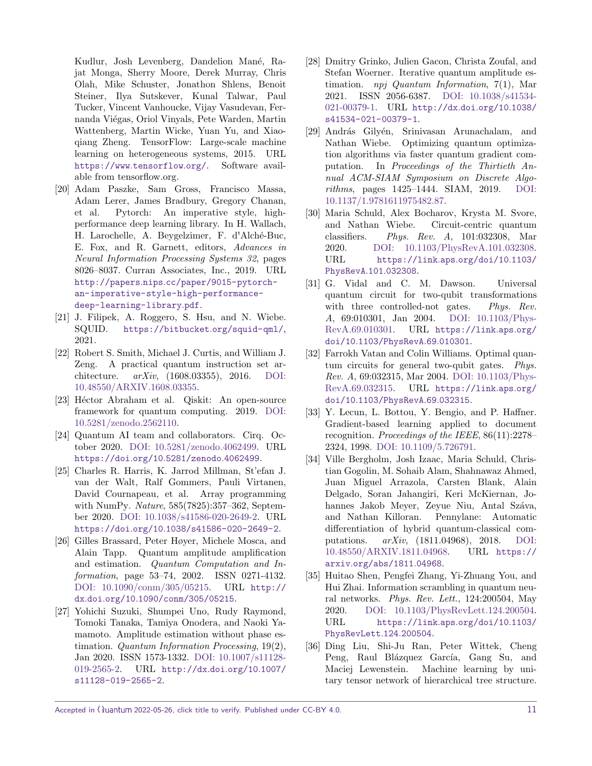Kudlur, Josh Levenberg, Dandelion Mané, Rajat Monga, Sherry Moore, Derek Murray, Chris Olah, Mike Schuster, Jonathon Shlens, Benoit Steiner, Ilya Sutskever, Kunal Talwar, Paul Tucker, Vincent Vanhoucke, Vijay Vasudevan, Fernanda Viégas, Oriol Vinyals, Pete Warden, Martin Wattenberg, Martin Wicke, Yuan Yu, and Xiaoqiang Zheng. TensorFlow: Large-scale machine learning on heterogeneous systems, 2015. URL [https://www](https://www.tensorflow.org/)*.*tensorflow*.*org/. Software available from tensorflow.org.

- <span id="page-10-0"></span>[20] Adam Paszke, Sam Gross, Francisco Massa, Adam Lerer, James Bradbury, Gregory Chanan, et al. Pytorch: An imperative style, highperformance deep learning library. In H. Wallach, H. Larochelle, A. Beygelzimer, F. d'Alché-Buc, E. Fox, and R. Garnett, editors, Advances in Neural Information Processing Systems 32, pages 8026–8037. Curran Associates, Inc., 2019. URL http://papers*.*nips*.*[cc/paper/9015-pytorch](http://papers.nips.cc/paper/9015-pytorch-an-imperative-style-high-performance-deep-learning-library.pdf)[an-imperative-style-high-performance](http://papers.nips.cc/paper/9015-pytorch-an-imperative-style-high-performance-deep-learning-library.pdf)[deep-learning-library](http://papers.nips.cc/paper/9015-pytorch-an-imperative-style-high-performance-deep-learning-library.pdf)*.*pdf.
- <span id="page-10-1"></span>[21] J. Filipek, A. Roggero, S. Hsu, and N. Wiebe. SQUID. [https://bitbucket](https://bitbucket.org/squid-qml/)*.*org/squid-qml/, 2021.
- <span id="page-10-2"></span>[22] Robert S. Smith, Michael J. Curtis, and William J. Zeng. A practical quantum instruction set architecture.  $arXiv$ , (1608.03355), 2016. [DOI:](https://doi.org/10.48550/ARXIV.1608.03355) [10.48550/ARXIV.1608.03355.](https://doi.org/10.48550/ARXIV.1608.03355)
- <span id="page-10-12"></span>[23] Héctor Abraham et al. Qiskit: An open-source framework for quantum computing. 2019. [DOI:](https://doi.org/10.5281/zenodo.2562110) [10.5281/zenodo.2562110.](https://doi.org/10.5281/zenodo.2562110)
- <span id="page-10-3"></span>[24] Quantum AI team and collaborators. Cirq. October 2020. [DOI: 10.5281/zenodo.4062499.](https://doi.org/10.5281/zenodo.4062499) URL [https://doi](https://doi.org/10.5281/zenodo.4062499)*.*org/10*.*5281/zenodo*.*4062499.
- <span id="page-10-4"></span>[25] Charles R. Harris, K. Jarrod Millman, St'efan J. van der Walt, Ralf Gommers, Pauli Virtanen, David Cournapeau, et al. Array programming with NumPy. Nature, 585(7825):357–362, September 2020. [DOI: 10.1038/s41586-020-2649-2.](https://doi.org/10.1038/s41586-020-2649-2) URL https://doi*.*org/10*.*[1038/s41586-020-2649-2](https://doi.org/10.1038/s41586-020-2649-2).
- <span id="page-10-5"></span>[26] Gilles Brassard, Peter Høyer, Michele Mosca, and Alain Tapp. Quantum amplitude amplification and estimation. Quantum Computation and Information, page 53–74, 2002. ISSN 0271-4132. [DOI: 10.1090/conm/305/05215.](https://doi.org/10.1090/conm/305/05215) URL [http://](http://dx.doi.org/10.1090/conm/305/05215) dx*.*doi*.*org/10*.*[1090/conm/305/05215](http://dx.doi.org/10.1090/conm/305/05215).
- [27] Yohichi Suzuki, Shumpei Uno, Rudy Raymond, Tomoki Tanaka, Tamiya Onodera, and Naoki Yamamoto. Amplitude estimation without phase estimation. Quantum Information Processing, 19(2), Jan 2020. ISSN 1573-1332. [DOI: 10.1007/s11128-](https://doi.org/10.1007/s11128-019-2565-2) [019-2565-2.](https://doi.org/10.1007/s11128-019-2565-2) URL [http://dx](http://dx.doi.org/10.1007/s11128-019-2565-2)*.*doi*.*org/10*.*1007/ [s11128-019-2565-2](http://dx.doi.org/10.1007/s11128-019-2565-2).
- <span id="page-10-6"></span>[28] Dmitry Grinko, Julien Gacon, Christa Zoufal, and Stefan Woerner. Iterative quantum amplitude estimation. *npj Quantum Information*,  $7(1)$ , Mar 2021. ISSN 2056-6387. [DOI: 10.1038/s41534-](https://doi.org/10.1038/s41534-021-00379-1) [021-00379-1.](https://doi.org/10.1038/s41534-021-00379-1) URL [http://dx](http://dx.doi.org/10.1038/s41534-021-00379-1)*.*doi*.*org/10*.*1038/ [s41534-021-00379-1](http://dx.doi.org/10.1038/s41534-021-00379-1).
- <span id="page-10-7"></span>[29] András Gilyén, Srinivasan Arunachalam, and Nathan Wiebe. Optimizing quantum optimization algorithms via faster quantum gradient computation. In Proceedings of the Thirtieth Annual ACM-SIAM Symposium on Discrete Algorithms, pages 1425–1444. SIAM, 2019. [DOI:](https://doi.org/10.1137/1.9781611975482.87) [10.1137/1.9781611975482.87.](https://doi.org/10.1137/1.9781611975482.87)
- <span id="page-10-8"></span>[30] Maria Schuld, Alex Bocharov, Krysta M. Svore, and Nathan Wiebe. Circuit-centric quantum classifiers. Phys. Rev. A, 101:032308, Mar 2020. [DOI: 10.1103/PhysRevA.101.032308.](https://doi.org/10.1103/PhysRevA.101.032308) URL [https://link](https://link.aps.org/doi/10.1103/PhysRevA.101.032308)*.*aps*.*org/doi/10*.*1103/ [PhysRevA](https://link.aps.org/doi/10.1103/PhysRevA.101.032308)*.*101*.*032308.
- <span id="page-10-9"></span>[31] G. Vidal and C. M. Dawson. Universal quantum circuit for two-qubit transformations with three controlled-not gates. Phys. Rev. A, 69:010301, Jan 2004. [DOI: 10.1103/Phys-](https://doi.org/10.1103/PhysRevA.69.010301)[RevA.69.010301.](https://doi.org/10.1103/PhysRevA.69.010301) URL [https://link](https://link.aps.org/doi/10.1103/PhysRevA.69.010301)*.*aps*.*org/ doi/10*.*[1103/PhysRevA](https://link.aps.org/doi/10.1103/PhysRevA.69.010301)*.*69*.*010301.
- <span id="page-10-10"></span>[32] Farrokh Vatan and Colin Williams. Optimal quantum circuits for general two-qubit gates. Phys. Rev. A, 69:032315, Mar 2004. [DOI: 10.1103/Phys-](https://doi.org/10.1103/PhysRevA.69.032315)[RevA.69.032315.](https://doi.org/10.1103/PhysRevA.69.032315) URL [https://link](https://link.aps.org/doi/10.1103/PhysRevA.69.032315)*.*aps*.*org/ doi/10*.*[1103/PhysRevA](https://link.aps.org/doi/10.1103/PhysRevA.69.032315)*.*69*.*032315.
- <span id="page-10-11"></span>[33] Y. Lecun, L. Bottou, Y. Bengio, and P. Haffner. Gradient-based learning applied to document recognition. Proceedings of the IEEE, 86(11):2278– 2324, 1998. [DOI: 10.1109/5.726791.](https://doi.org/10.1109/5.726791)
- <span id="page-10-13"></span>[34] Ville Bergholm, Josh Izaac, Maria Schuld, Christian Gogolin, M. Sohaib Alam, Shahnawaz Ahmed, Juan Miguel Arrazola, Carsten Blank, Alain Delgado, Soran Jahangiri, Keri McKiernan, Johannes Jakob Meyer, Zeyue Niu, Antal Száva, and Nathan Killoran. Pennylane: Automatic differentiation of hybrid quantum-classical computations. arXiv, (1811.04968), 2018. [DOI:](https://doi.org/10.48550/ARXIV.1811.04968) [10.48550/ARXIV.1811.04968.](https://doi.org/10.48550/ARXIV.1811.04968) URL [https://](https://arxiv.org/abs/1811.04968) arxiv*.*[org/abs/1811](https://arxiv.org/abs/1811.04968)*.*04968.
- <span id="page-10-14"></span>[35] Huitao Shen, Pengfei Zhang, Yi-Zhuang You, and Hui Zhai. Information scrambling in quantum neural networks. Phys. Rev. Lett., 124:200504, May 2020. [DOI: 10.1103/PhysRevLett.124.200504.](https://doi.org/10.1103/PhysRevLett.124.200504) URL [https://link](https://link.aps.org/doi/10.1103/PhysRevLett.124.200504)*.*aps*.*org/doi/10*.*1103/ [PhysRevLett](https://link.aps.org/doi/10.1103/PhysRevLett.124.200504)*.*124*.*200504.
- <span id="page-10-15"></span>[36] Ding Liu, Shi-Ju Ran, Peter Wittek, Cheng Peng, Raul Blázquez García, Gang Su, and Maciej Lewenstein. Machine learning by unitary tensor network of hierarchical tree structure.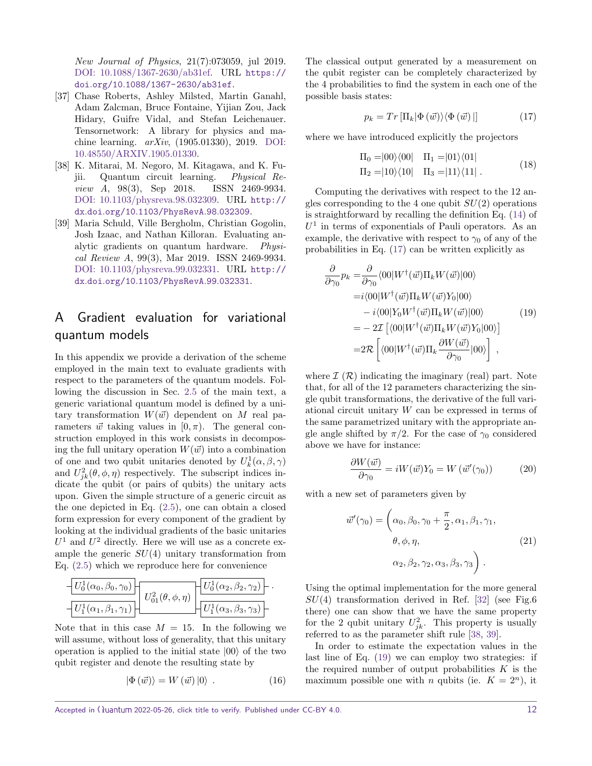New Journal of Physics, 21(7):073059, jul 2019. [DOI: 10.1088/1367-2630/ab31ef.](https://doi.org/10.1088/1367-2630/ab31ef) URL [https://](https://doi.org/10.1088/1367-2630/ab31ef) doi*.*org/10*.*[1088/1367-2630/ab31ef](https://doi.org/10.1088/1367-2630/ab31ef).

- <span id="page-11-1"></span>[37] Chase Roberts, Ashley Milsted, Martin Ganahl, Adam Zalcman, Bruce Fontaine, Yijian Zou, Jack Hidary, Guifre Vidal, and Stefan Leichenauer. Tensornetwork: A library for physics and machine learning. arXiv, (1905.01330), 2019. [DOI:](https://doi.org/10.48550/ARXIV.1905.01330) [10.48550/ARXIV.1905.01330.](https://doi.org/10.48550/ARXIV.1905.01330)
- <span id="page-11-3"></span>[38] K. Mitarai, M. Negoro, M. Kitagawa, and K. Fujii. Quantum circuit learning. Physical Review A, 98(3), Sep 2018. ISSN 2469-9934. [DOI: 10.1103/physreva.98.032309.](https://doi.org/10.1103/physreva.98.032309) URL [http://](http://dx.doi.org/10.1103/PhysRevA.98.032309) dx*.*doi*.*org/10*.*[1103/PhysRevA](http://dx.doi.org/10.1103/PhysRevA.98.032309)*.*98*.*032309.
- <span id="page-11-4"></span>[39] Maria Schuld, Ville Bergholm, Christian Gogolin, Josh Izaac, and Nathan Killoran. Evaluating analytic gradients on quantum hardware. Physical Review A, 99(3), Mar 2019. ISSN 2469-9934. [DOI: 10.1103/physreva.99.032331.](https://doi.org/10.1103/physreva.99.032331) URL [http://](http://dx.doi.org/10.1103/PhysRevA.99.032331) dx*.*doi*.*org/10*.*[1103/PhysRevA](http://dx.doi.org/10.1103/PhysRevA.99.032331)*.*99*.*032331.

# <span id="page-11-0"></span>A Gradient evaluation for variational quantum models

In this appendix we provide a derivation of the scheme employed in the main text to evaluate gradients with respect to the parameters of the quantum models. Following the discussion in Sec. [2.5](#page-3-1) of the main text, a generic variational quantum model is defined by a unitary transformation  $W(\vec{w})$  dependent on *M* real parameters  $\vec{w}$  taking values in  $[0, \pi)$ . The general construction employed in this work consists in decomposing the full unitary operation  $W(\vec{w})$  into a combination of one and two qubit unitaries denoted by  $U_k^1(\alpha, \beta, \gamma)$ and  $U_{jk}^2(\theta, \phi, \eta)$  respectively. The subscript indices indicate the qubit (or pairs of qubits) the unitary acts upon. Given the simple structure of a generic circuit as the one depicted in Eq. [\(2.5\)](#page-4-1), one can obtain a closed form expression for every component of the gradient by looking at the individual gradients of the basic unitaries  $U^1$  and  $U^2$  directly. Here we will use as a concrete example the generic *SU*(4) unitary transformation from Eq. [\(2.5\)](#page-4-1) which we reproduce here for convenience

$$
\frac{U_0^1(\alpha_0, \beta_0, \gamma_0)}{U_1^1(\alpha_1, \beta_1, \gamma_1)} \frac{U_0^2(\theta, \phi, \eta)}{U_0^2(\theta, \phi, \eta)} \frac{U_0^1(\alpha_2, \beta_2, \gamma_2)}{U_1^1(\alpha_3, \beta_3, \gamma_3)}.
$$

Note that in this case  $M = 15$ . In the following we will assume, without loss of generality, that this unitary operation is applied to the initial state  $|00\rangle$  of the two qubit register and denote the resulting state by

$$
|\Phi(\vec{w})\rangle = W(\vec{w})|0\rangle . \qquad (16)
$$

The classical output generated by a measurement on the qubit register can be completely characterized by the 4 probabilities to find the system in each one of the possible basis states:

<span id="page-11-2"></span>
$$
p_k = Tr \left[ \Pi_k | \Phi \left( \vec{w} \right) \rangle \langle \Phi \left( \vec{w} \right) | \right] \tag{17}
$$

where we have introduced explicitly the projectors

$$
\Pi_0 = |00\rangle\langle00| \quad \Pi_1 = |01\rangle\langle01|
$$
  
\n
$$
\Pi_2 = |10\rangle\langle10| \quad \Pi_3 = |11\rangle\langle11|.
$$
\n(18)

Computing the derivatives with respect to the 12 angles corresponding to the 4 one qubit *SU*(2) operations is straightforward by recalling the definition Eq. [\(14\)](#page-4-2) of  $U^1$  in terms of exponentials of Pauli operators. As an example, the derivative with respect to  $\gamma_0$  of any of the probabilities in Eq. [\(17\)](#page-11-2) can be written explicitly as

<span id="page-11-5"></span>
$$
\frac{\partial}{\partial \gamma_0} p_k = \frac{\partial}{\partial \gamma_0} \langle 00 | W^\dagger(\vec{w}) \Pi_k W(\vec{w}) | 00 \rangle \n= i \langle 00 | W^\dagger(\vec{w}) \Pi_k W(\vec{w}) Y_0 | 00 \rangle \n- i \langle 00 | Y_0 W^\dagger(\vec{w}) \Pi_k W(\vec{w}) | 00 \rangle \n= - 2 \mathcal{I} \left[ \langle 00 | W^\dagger(\vec{w}) \Pi_k W(\vec{w}) Y_0 | 00 \rangle \right] \n= 2 \mathcal{R} \left[ \langle 00 | W^\dagger(\vec{w}) \Pi_k \frac{\partial W(\vec{w})}{\partial \gamma_0} | 00 \rangle \right] ,
$$
\n(19)

where  $\mathcal{I}(\mathcal{R})$  indicating the imaginary (real) part. Note that, for all of the 12 parameters characterizing the single qubit transformations, the derivative of the full variational circuit unitary *W* can be expressed in terms of the same parametrized unitary with the appropriate angle angle shifted by  $\pi/2$ . For the case of  $\gamma_0$  considered above we have for instance:

$$
\frac{\partial W(\vec{w})}{\partial \gamma_0} = iW(\vec{w})Y_0 = W(\vec{w}'(\gamma_0))\tag{20}
$$

with a new set of parameters given by

$$
\vec{w}'(\gamma_0) = \left(\alpha_0, \beta_0, \gamma_0 + \frac{\pi}{2}, \alpha_1, \beta_1, \gamma_1, \beta_2, \gamma_3, \beta_4, \gamma_5\right) \tag{21}
$$
\n
$$
\alpha_2, \beta_2, \gamma_2, \alpha_3, \beta_3, \gamma_3
$$

Using the optimal implementation for the more general *SU*(4) transformation derived in Ref. [\[32\]](#page-10-10) (see Fig.6 there) one can show that we have the same property for the 2 qubit unitary  $U_{jk}^2$ . This property is usually referred to as the parameter shift rule [\[38,](#page-11-3) [39\]](#page-11-4).

In order to estimate the expectation values in the last line of Eq. [\(19\)](#page-11-5) we can employ two strategies: if the required number of output probabilities *K* is the maximum possible one with *n* qubits (ie.  $K = 2<sup>n</sup>$ ), it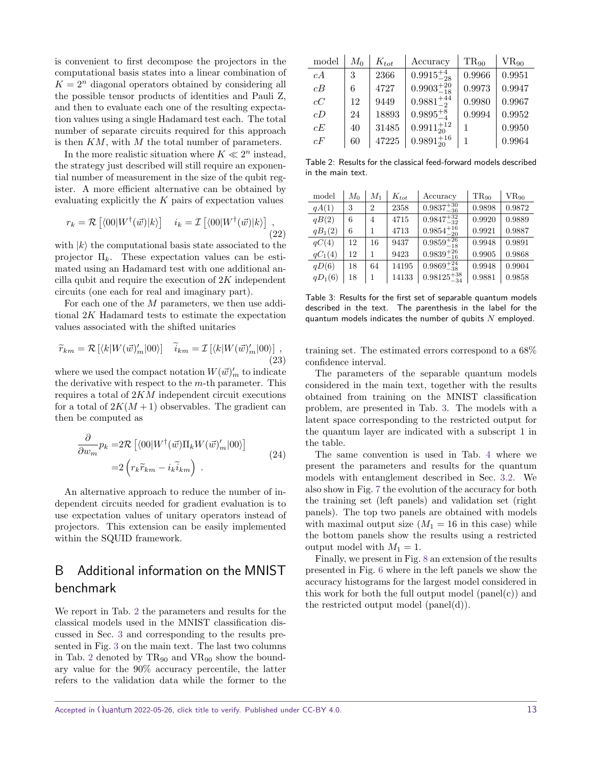is convenient to first decompose the projectors in the computational basis states into a linear combination of  $K = 2<sup>n</sup>$  diagonal operators obtained by considering all the possible tensor products of identities and Pauli Z, and then to evaluate each one of the resulting expectation values using a single Hadamard test each. The total number of separate circuits required for this approach is then *KM*, with *M* the total number of parameters.

In the more realistic situation where  $K \ll 2^n$  instead, the strategy just described will still require an exponential number of measurement in the size of the qubit register. A more efficient alternative can be obtained by evaluating explicitly the *K* pairs of expectation values

$$
r_k = \mathcal{R}\left[\langle 00|W^\dagger(\vec{w})|k\rangle\right] \quad i_k = \mathcal{I}\left[\langle 00|W^\dagger(\vec{w})|k\rangle\right],\tag{22}
$$

with  $|k\rangle$  the computational basis state associated to the projector  $\Pi_k$ . These expectation values can be estimated using an Hadamard test with one additional ancilla qubit and require the execution of 2*K* independent circuits (one each for real and imaginary part).

For each one of the *M* parameters, we then use additional 2*K* Hadamard tests to estimate the expectation values associated with the shifted unitaries

$$
\widetilde{r}_{km} = \mathcal{R}\left[\langle k|W(\vec{w})'_{m}|00\rangle\right] \quad \widetilde{i}_{km} = \mathcal{I}\left[\langle k|W(\vec{w})'_{m}|00\rangle\right],\tag{23}
$$

where we used the compact notation  $W(\vec{w})_m'$  to indicate the derivative with respect to the *m*-th parameter. This requires a total of 2*KM* independent circuit executions for a total of  $2K(M+1)$  observables. The gradient can then be computed as

$$
\frac{\partial}{\partial w_m} p_k = 2\mathcal{R} \left[ \langle 00 | W^\dagger (\vec{w}) \Pi_k W (\vec{w})'_m | 00 \rangle \right]
$$
\n
$$
= 2 \left( r_k \tilde{r}_{km} - i_k \tilde{i}_{km} \right) . \tag{24}
$$

An alternative approach to reduce the number of independent circuits needed for gradient evaluation is to use expectation values of unitary operators instead of projectors. This extension can be easily implemented within the SQUID framework.

## <span id="page-12-1"></span>B Additional information on the MNIST benchmark

We report in Tab. [2](#page-12-0) the parameters and results for the classical models used in the MNIST classification discussed in Sec. [3](#page-4-0) and corresponding to the results presented in Fig. [3](#page-5-2) on the main text. The last two columns in Tab. [2](#page-12-0) denoted by  $TR_{90}$  and  $VR_{90}$  show the boundary value for the 90% accuracy percentile, the latter refers to the validation data while the former to the

<span id="page-12-0"></span>

| model | $M_0$ | $K_{tot}$ | Accuracy             | $TR_{90}$ | $VR_{90}$ |
|-------|-------|-----------|----------------------|-----------|-----------|
| cA    | 3     | 2366      | $0.9915^{+4}_{-28}$  | 0.9966    | 0.9951    |
| cB    | 6     | 4727      | $0.9903_{-18}^{+20}$ | 0.9973    | 0.9947    |
| cC    | 12    | 9449      | $0.9881_{-2}^{+44}$  | 0.9980    | 0.9967    |
| cD    | 24    | 18893     | $0.9895^{+8}_{-4}$   | 0.9994    | 0.9952    |
| cE    | 40    | 31485     | $0.9911_{20}^{+12}$  | 1         | 0.9950    |
| cF    | 60    | 47225     | $0.9891_{20}^{+16}$  | 1         | 0.9964    |

Table 2: Results for the classical feed-forward models described in the main text.

<span id="page-12-2"></span>

| model     | $M_0$ | $M_1$          | $K_{tot}$ | Accuracy              | $TR_{90}$ | $VR_{90}$ |
|-----------|-------|----------------|-----------|-----------------------|-----------|-----------|
| qA(1)     | 3     | $\overline{2}$ | 2358      | $0.9837_{-36}^{+30}$  | 0.9898    | 0.9872    |
| qB(2)     | 6     | 4              | 4715      | $0.9847_{-32}^{+32}$  | 0.9920    | 0.9889    |
| $qB_1(2)$ | 6     | 1              | 4713      | $0.9854_{-20}^{+16}$  | 0.9921    | 0.9887    |
| qC(4)     | 12    | 16             | 9437      | $0.9859_{-18}^{+26}$  | 0.9948    | 0.9891    |
| $qC_1(4)$ | 12    |                | 9423      | $0.9839_{-16}^{+26}$  | 0.9905    | 0.9868    |
| qD(6)     | 18    | 64             | 14195     | $0.9869_{-38}^{+24}$  | 0.9948    | 0.9904    |
| $qD_1(6)$ | 18    | 1              | 14133     | $0.98125_{-34}^{+38}$ | 0.9881    | 0.9858    |

Table 3: Results for the first set of separable quantum models described in the text. The parenthesis in the label for the quantum models indicates the number of qubits *N* employed.

training set. The estimated errors correspond to a 68% confidence interval.

The parameters of the separable quantum models considered in the main text, together with the results obtained from training on the MNIST classification problem, are presented in Tab. [3.](#page-12-2) The models with a latent space corresponding to the restricted output for the quantum layer are indicated with a subscript 1 in the table.

The same convention is used in Tab. [4](#page-13-0) where we present the parameters and results for the quantum models with entanglement described in Sec. [3.2.](#page-6-2) We also show in Fig. [7](#page-13-1) the evolution of the accuracy for both the training set (left panels) and validation set (right panels). The top two panels are obtained with models with maximal output size  $(M_1 = 16$  in this case) while the bottom panels show the results using a restricted output model with  $M_1 = 1$ .

Finally, we present in Fig. [8](#page-13-2) an extension of the results presented in Fig. [6](#page-7-3) where in the left panels we show the accuracy histograms for the largest model considered in this work for both the full output model  $(panel(c))$  and the restricted output model (panel(d)).